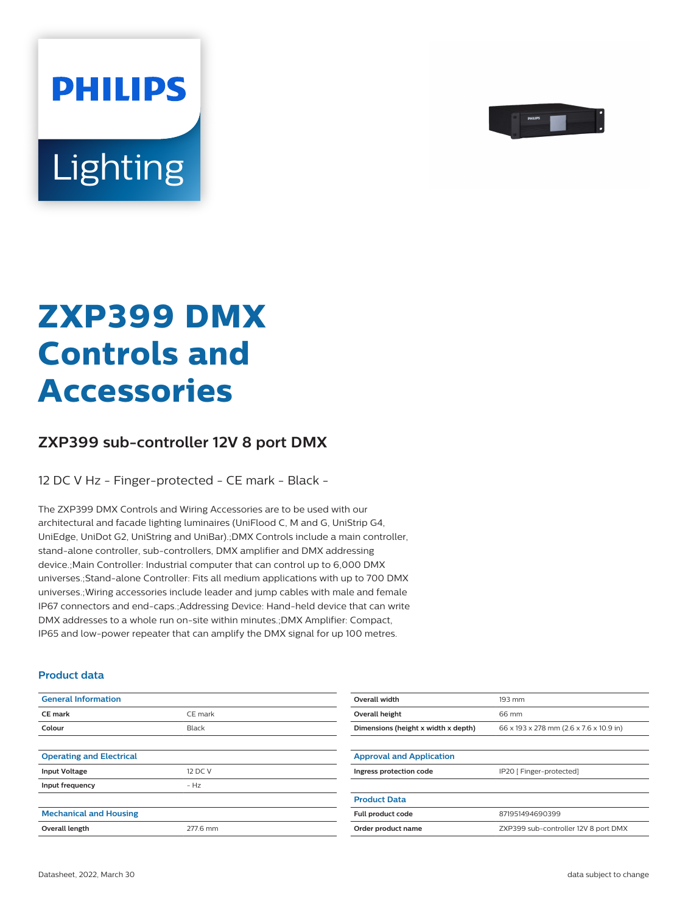

# Lighting

**PHILIPS** 

# **ZXP399 DMX Controls and Accessories**

## **ZXP399 sub-controller 12V 8 port DMX**

12 DC V Hz - Finger-protected - CE mark - Black -

The ZXP399 DMX Controls and Wiring Accessories are to be used with our architectural and facade lighting luminaires (UniFlood C, M and G, UniStrip G4, UniEdge, UniDot G2, UniString and UniBar).;DMX Controls include a main controller, stand-alone controller, sub-controllers, DMX amplifier and DMX addressing device.;Main Controller: Industrial computer that can control up to 6,000 DMX universes.;Stand-alone Controller: Fits all medium applications with up to 700 DMX universes.;Wiring accessories include leader and jump cables with male and female IP67 connectors and end-caps.;Addressing Device: Hand-held device that can write DMX addresses to a whole run on-site within minutes.;DMX Amplifier: Compact, IP65 and low-power repeater that can amplify the DMX signal for up 100 metres.

#### **Product data**

| <b>General Information</b>      |          | Overall width                       | 193 mm                                  |
|---------------------------------|----------|-------------------------------------|-----------------------------------------|
| CE mark                         | CE mark  | Overall height                      | 66 mm                                   |
| Colour                          | Black    | Dimensions (height x width x depth) | 66 x 193 x 278 mm (2.6 x 7.6 x 10.9 in) |
|                                 |          |                                     |                                         |
| <b>Operating and Electrical</b> |          | <b>Approval and Application</b>     |                                         |
| <b>Input Voltage</b>            | 12 DC V  | Ingress protection code             | IP20 [ Finger-protected]                |
| Input frequency                 | $- Hz$   |                                     |                                         |
|                                 |          | <b>Product Data</b>                 |                                         |
| <b>Mechanical and Housing</b>   |          | Full product code                   | 871951494690399                         |
| Overall length                  | 277.6 mm | Order product name                  | ZXP399 sub-controller 12V 8 port DMX    |
|                                 |          |                                     |                                         |